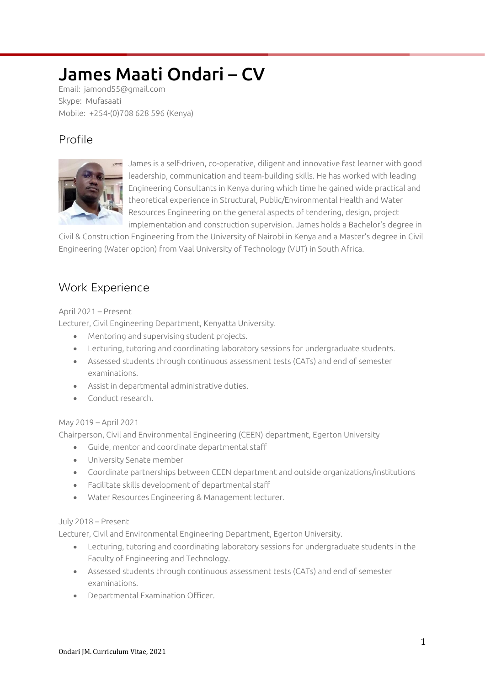# James Maati Ondari – CV

Email: jamond55@gmail.com Skype: Mufasaati Mobile: +254-(0)708 628 596 (Kenya)

# Profile



James is a self-driven, co-operative, diligent and innovative fast learner with good leadership, communication and team-building skills. He has worked with leading Engineering Consultants in Kenya during which time he gained wide practical and theoretical experience in Structural, Public/Environmental Health and Water Resources Engineering on the general aspects of tendering, design, project implementation and construction supervision. James holds a Bachelor's degree in

Civil & Construction Engineering from the University of Nairobi in Kenya and a Master's degree in Civil Engineering (Water option) from Vaal University of Technology (VUT) in South Africa.

# Work Experience

#### April 2021 – Present

Lecturer, Civil Engineering Department, Kenyatta University.

- Mentoring and supervising student projects.
- Lecturing, tutoring and coordinating laboratory sessions for undergraduate students.
- Assessed students through continuous assessment tests (CATs) and end of semester examinations.
- Assist in departmental administrative duties.
- Conduct research

#### May 2019 – April 2021

Chairperson, Civil and Environmental Engineering (CEEN) department, Egerton University

- Guide, mentor and coordinate departmental staff
- University Senate member
- Coordinate partnerships between CEEN department and outside organizations/institutions
- Facilitate skills development of departmental staff
- Water Resources Engineering & Management lecturer.

#### July 2018 – Present

Lecturer, Civil and Environmental Engineering Department, Egerton University.

- Lecturing, tutoring and coordinating laboratory sessions for undergraduate students in the Faculty of Engineering and Technology.
- Assessed students through continuous assessment tests (CATs) and end of semester examinations.
- Departmental Examination Officer.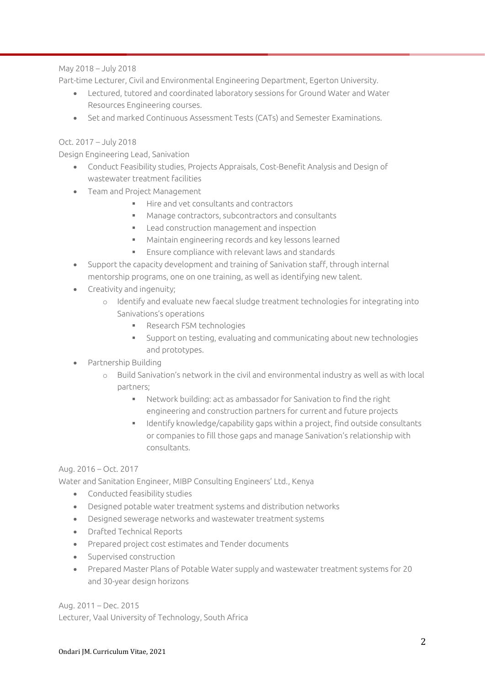#### May 2018 – July 2018

Part-time Lecturer, Civil and Environmental Engineering Department, Egerton University.

- Lectured, tutored and coordinated laboratory sessions for Ground Water and Water Resources Engineering courses.
- Set and marked Continuous Assessment Tests (CATs) and Semester Examinations.

#### Oct. 2017 – July 2018

Design Engineering Lead, Sanivation

- Conduct Feasibility studies, Projects Appraisals, Cost-Benefit Analysis and Design of wastewater treatment facilities
- Team and Project Management
	- $\blacksquare$  Hire and vet consultants and contractors
	- Manage contractors, subcontractors and consultants
	- **EXECT** Lead construction management and inspection
	- Maintain engineering records and key lessons learned
	- Ensure compliance with relevant laws and standards
- Support the capacity development and training of Sanivation staff, through internal mentorship programs, one on one training, as well as identifying new talent.
- Creativity and ingenuity;
	- o Identify and evaluate new faecal sludge treatment technologies for integrating into Sanivations's operations
		- **Research FSM technologies**
		- Support on testing, evaluating and communicating about new technologies and prototypes.
- Partnership Building
	- o Build Sanivation's network in the civil and environmental industry as well as with local partners;
		- Network building: act as ambassador for Sanivation to find the right engineering and construction partners for current and future projects
		- Identify knowledge/capability gaps within a project, find outside consultants or companies to fill those gaps and manage Sanivation's relationship with consultants.

#### Aug. 2016 – Oct. 2017

Water and Sanitation Engineer, MIBP Consulting Engineers' Ltd., Kenya

- Conducted feasibility studies
- Designed potable water treatment systems and distribution networks
- Designed sewerage networks and wastewater treatment systems
- Drafted Technical Reports
- Prepared project cost estimates and Tender documents
- Supervised construction
- Prepared Master Plans of Potable Water supply and wastewater treatment systems for 20 and 30-year design horizons

Aug. 2011 – Dec. 2015 Lecturer, Vaal University of Technology, South Africa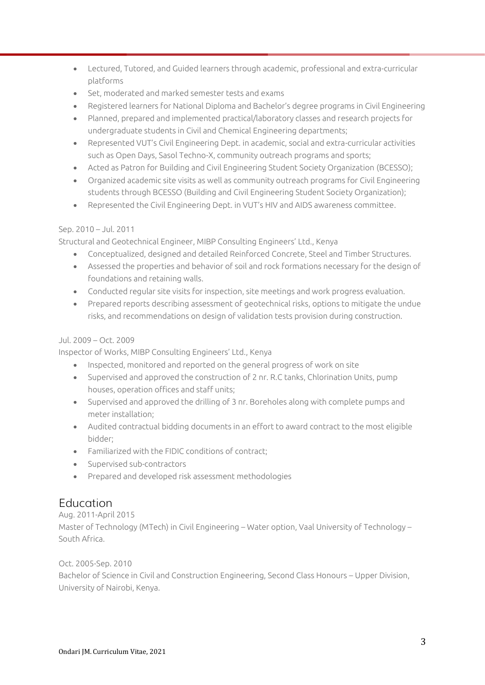- Lectured, Tutored, and Guided learners through academic, professional and extra-curricular platforms
- Set, moderated and marked semester tests and exams
- Registered learners for National Diploma and Bachelor's degree programs in Civil Engineering
- Planned, prepared and implemented practical/laboratory classes and research projects for undergraduate students in Civil and Chemical Engineering departments;
- Represented VUT's Civil Engineering Dept. in academic, social and extra-curricular activities such as Open Days, Sasol Techno-X, community outreach programs and sports;
- Acted as Patron for Building and Civil Engineering Student Society Organization (BCESSO);
- Organized academic site visits as well as community outreach programs for Civil Engineering students through BCESSO (Building and Civil Engineering Student Society Organization);
- Represented the Civil Engineering Dept. in VUT's HIV and AIDS awareness committee.

#### Sep. 2010 – Jul. 2011

Structural and Geotechnical Engineer, MIBP Consulting Engineers' Ltd., Kenya

- Conceptualized, designed and detailed Reinforced Concrete, Steel and Timber Structures.
- Assessed the properties and behavior of soil and rock formations necessary for the design of foundations and retaining walls.
- Conducted regular site visits for inspection, site meetings and work progress evaluation.
- Prepared reports describing assessment of geotechnical risks, options to mitigate the undue risks, and recommendations on design of validation tests provision during construction.

#### Jul. 2009 – Oct. 2009

Inspector of Works, MIBP Consulting Engineers' Ltd., Kenya

- Inspected, monitored and reported on the general progress of work on site
- Supervised and approved the construction of 2 nr. R.C tanks, Chlorination Units, pump houses, operation offices and staff units;
- Supervised and approved the drilling of 3 nr. Boreholes along with complete pumps and meter installation;
- Audited contractual bidding documents in an effort to award contract to the most eligible bidder;
- Familiarized with the FIDIC conditions of contract;
- Supervised sub-contractors
- Prepared and developed risk assessment methodologies

# **Education**

#### Aug. 2011-April 2015

Master of Technology (MTech) in Civil Engineering – Water option, Vaal University of Technology – South Africa.

#### Oct. 2005-Sep. 2010

Bachelor of Science in Civil and Construction Engineering, Second Class Honours – Upper Division, University of Nairobi, Kenya.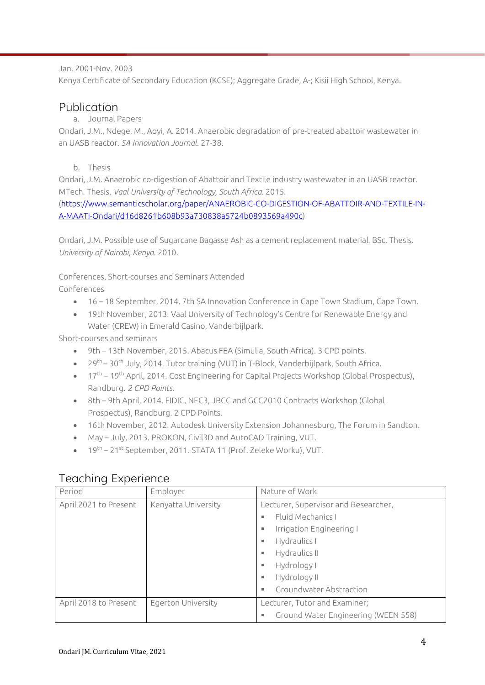#### Jan. 2001-Nov. 2003

Kenya Certificate of Secondary Education (KCSE); Aggregate Grade, A-; Kisii High School, Kenya.

### Publication

#### a. Journal Papers

Ondari, J.M., Ndege, M., Aoyi, A. 2014. Anaerobic degradation of pre-treated abattoir wastewater in an UASB reactor. *SA Innovation Journal*. 27-38.

#### b. Thesis

Ondari, J.M. Anaerobic co-digestion of Abattoir and Textile industry wastewater in an UASB reactor. MTech. Thesis. *Vaal University of Technology, South Africa*. 2015.

[\(https://www.semanticscholar.org/paper/ANAEROBIC-CO-DIGESTION-OF-ABATTOIR-AND-TEXTILE-IN-](https://www.semanticscholar.org/paper/ANAEROBIC-CO-DIGESTION-OF-ABATTOIR-AND-TEXTILE-IN-A-MAATI-Ondari/d16d8261b608b93a730838a5724b0893569a490c)[A-MAATI-Ondari/d16d8261b608b93a730838a5724b0893569a490c\)](https://www.semanticscholar.org/paper/ANAEROBIC-CO-DIGESTION-OF-ABATTOIR-AND-TEXTILE-IN-A-MAATI-Ondari/d16d8261b608b93a730838a5724b0893569a490c)

Ondari, J.M. Possible use of Sugarcane Bagasse Ash as a cement replacement material. BSc. Thesis. *University of Nairobi, Kenya*. 2010.

Conferences, Short-courses and Seminars Attended Conferences

- 16 18 September, 2014. 7th SA Innovation Conference in Cape Town Stadium, Cape Town.
- 19th November, 2013. Vaal University of Technology's Centre for Renewable Energy and Water (CREW) in Emerald Casino, Vanderbijlpark.

Short-courses and seminars

- 9th 13th November, 2015. Abacus FEA (Simulia, South Africa). 3 CPD points.
- $\bullet$  29<sup>th</sup> 30<sup>th</sup> July, 2014. Tutor training (VUT) in T-Block, Vanderbijlpark, South Africa.
- 17<sup>th</sup> 19<sup>th</sup> April, 2014. Cost Engineering for Capital Projects Workshop (Global Prospectus), Randburg. *2 CPD Points*.
- 8th 9th April, 2014. FIDIC, NEC3, JBCC and GCC2010 Contracts Workshop (Global Prospectus), Randburg. 2 CPD Points.
- 16th November, 2012. Autodesk University Extension Johannesburg, The Forum in Sandton.
- May July, 2013. PROKON, Civil3D and AutoCAD Training, VUT.
- 19<sup>th</sup> 21<sup>st</sup> September, 2011. STATA 11 (Prof. Zeleke Worku), VUT.

| Period                | Employer                  | Nature of Work                           |
|-----------------------|---------------------------|------------------------------------------|
| April 2021 to Present | Kenyatta University       | Lecturer, Supervisor and Researcher,     |
|                       |                           | Fluid Mechanics I<br>٠                   |
|                       |                           | Irrigation Engineering I<br>٠            |
|                       |                           | Hydraulics I<br>ш                        |
|                       |                           | Hydraulics II<br>ш                       |
|                       |                           | Hydrology I<br>ш                         |
|                       |                           | Hydrology II<br>٠                        |
|                       |                           | Groundwater Abstraction<br>٠             |
| April 2018 to Present | <b>Egerton University</b> | Lecturer, Tutor and Examiner;            |
|                       |                           | Ground Water Engineering (WEEN 558)<br>ш |

# Teaching Experience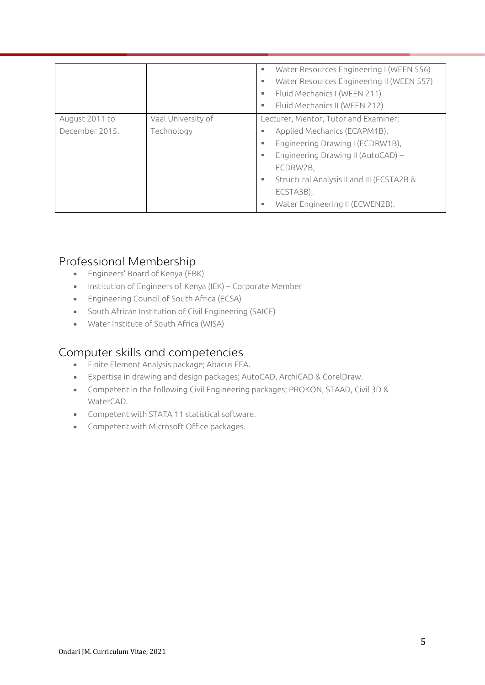|                |                    | Water Resources Engineering I (WEEN 556)<br>ш |
|----------------|--------------------|-----------------------------------------------|
|                |                    | Water Resources Engineering II (WEEN 557)     |
|                |                    | Fluid Mechanics I (WEEN 211)                  |
|                |                    | Fluid Mechanics II (WEEN 212)                 |
| August 2011 to | Vaal University of | Lecturer, Mentor, Tutor and Examiner;         |
| December 2015. | Technology         | Applied Mechanics (ECAPM1B),                  |
|                |                    | Engineering Drawing I (ECDRW1B),<br>٠         |
|                |                    | Engineering Drawing II (AutoCAD) –<br>н.      |
|                |                    | ECDRW2B,                                      |
|                |                    | Structural Analysis II and III (ECSTA2B &     |
|                |                    | ECSTA3B),                                     |
|                |                    | Water Engineering II (ECWEN2B).               |

## Professional Membership

- Engineers' Board of Kenya (EBK)
- Institution of Engineers of Kenya (IEK) Corporate Member
- Engineering Council of South Africa (ECSA)
- South African Institution of Civil Engineering (SAICE)
- Water Institute of South Africa (WISA)

### Computer skills and competencies

- Finite Element Analysis package; Abacus FEA.
- Expertise in drawing and design packages; AutoCAD, ArchiCAD & CorelDraw.
- Competent in the following Civil Engineering packages; PROKON, STAAD, Civil 3D & WaterCAD.
- Competent with STATA 11 statistical software.
- Competent with Microsoft Office packages.